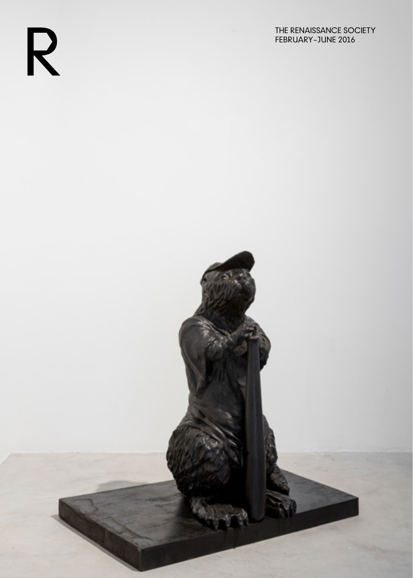# R

THE RENAISSANCE SOCIETY FEBRUARY–JUNE 2016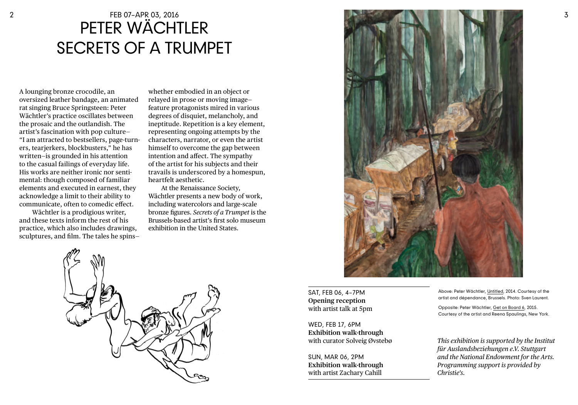# PETER WÄCHTLER SECRETS OF A TRUMPET

A lounging bronze crocodile, an oversized leather bandage, an animated rat singing Bruce Springsteen: Peter Wächtler's practice oscillates between the prosaic and the outlandish. The artist's fascination with pop culture— "I am attracted to bestsellers, page-turners, tearjerkers, blockbusters," he has written—is grounded in his attention to the casual failings of everyday life. His works are neither ironic nor sentimental: though composed of familiar elements and executed in earnest, they acknowledge a limit to their ability to communicate, often to comedic efect.

Wächtler is a prodigious writer, and these texts inform the rest of his practice, which also includes drawings, sculptures, and flm. The tales he spinswhether embodied in an object or relayed in prose or moving image feature protagonists mired in various degrees of disquiet, melancholy, and ineptitude. Repetition is a key element, representing ongoing attempts by the characters, narrator, or even the artist himself to overcome the gap between intention and afect. The sympathy of the artist for his subjects and their travails is underscored by a homespun, heartfelt aesthetic.

At the Renaissance Society, Wächtler presents a new body of work, including watercolors and large-scale bronze fgures. *Secrets of a Trumpet* is the Brussels-based artist's frst solo museum exhibition in the United States.





SAT, FEB 06, 4–7PM **Opening reception** with artist talk at 5pm

WED, FEB 17, 6PM **Exhibition walk-through** with curator Solveig Øvstebø

SUN, MAR 06, 2PM **Exhibition walk-through** with artist Zachary Cahill

Above: Peter Wächtler, Untitled, 2014. Courtesy of the artist and dépendance, Brussels. Photo: Sven Laurent.

Opposite: Peter Wächtler, Get on Board 6, 2015. Courtesy of the artist and Reena Spaulings, New York.

*This exhibition is supported by the Institut für Auslandsbeziehungen e.V. Stuttgart and the National Endowment for the Arts. Programming support is provided by Christie's.*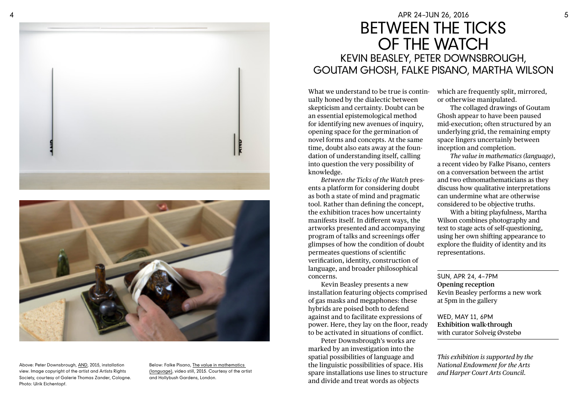



Above: Peter Downsbrough, AND, 2015, installation view. Image copyright of the artist and Artists Rights Society, courtesy of Galerie Thomas Zander, Cologne. Photo: Ulrik Eichentopf.

Below: Falke Pisano, The value in mathematics (language), video still, 2015. Courtesy of the artist and Hollybush Gardens, London.

## APR 24–JUN 26, 2016 BETWEEN THE TICKS OF THE WATCH KEVIN BEASLEY, PETER DOWNSBROUGH, GOUTAM GHOSH, FALKE PISANO, MARTHA WILSON

What we understand to be true is continually honed by the dialectic between skepticism and certainty. Doubt can be an essential epistemological method for identifying new avenues of inquiry, opening space for the germination of novel forms and concepts. At the same time, doubt also eats away at the foundation of understanding itself, calling into question the very possibility of knowledge.

*Between the Ticks of the Watch* presents a platform for considering doubt as both a state of mind and pragmatic tool. Rather than defning the concept, the exhibition traces how uncertainty manifests itself. In diferent ways, the artworks presented and accompanying program of talks and screenings ofer glimpses of how the condition of doubt permeates questions of scientifc verifcation, identity, construction of language, and broader philosophical concerns.

Kevin Beasley presents a new installation featuring objects comprised of gas masks and megaphones: these hybrids are poised both to defend against and to facilitate expressions of power. Here, they lay on the floor, ready to be activated in situations of confict.

Peter Downsbrough's works are marked by an investigation into the spatial possibilities of language and the linguistic possibilities of space. His spare installations use lines to structure and divide and treat words as objects

which are frequently split, mirrored, or otherwise manipulated.

The collaged drawings of Goutam Ghosh appear to have been paused mid-execution; often structured by an underlying grid, the remaining empty space lingers uncertainly between inception and completion.

*The value in mathematics (language)*, a recent video by Falke Pisano, centers on a conversation between the artist and two ethnomathematicians as they discuss how qualitative interpretations can undermine what are otherwise considered to be objective truths.

With a biting playfulness, Martha Wilson combines photography and text to stage acts of self-questioning, using her own shifting appearance to explore the fuidity of identity and its representations.

SUN, APR 24, 4–7PM **Opening reception** Kevin Beasley performs a new work at 5pm in the gallery

WED, MAY 11, 6PM **Exhibition walk-through** with curator Solveig Øvstebø

*This exhibition is supported by the National Endowment for the Arts and Harper Court Arts Council.*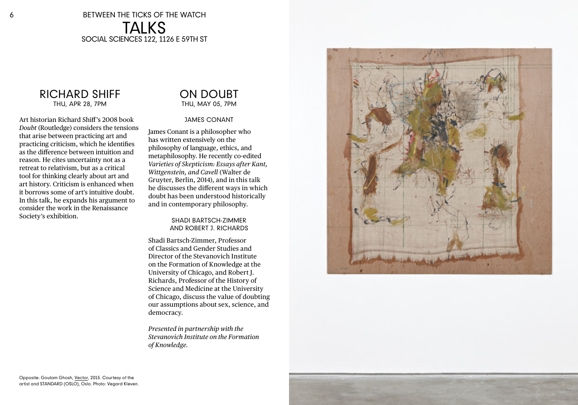### BETWEEN THE TICKS OF THE WATCH TALKS SOCIAL SCIENCES 122, 1126 E 59TH ST

#### RICHARD SHIFF THU, APR 28, 7PM

Art historian Richard Shif's 2008 book *Doubt* (Routledge) considers the tensions that arise between practicing art and practicing criticism, which he identifes as the diference between intuition and reason. He cites uncertainty not as a retreat to relativism, but as a critical tool for thinking clearly about art and art history. Criticism is enhanced when it borrows some of art's intuitive doubt. In this talk, he expands his argument to consider the work in the Renaissance Society's exhibition.

#### ON DOUBT THU, MAY 05, 7PM

#### JAMES CONANT

James Conant is a philosopher who has written extensively on the philosophy of language, ethics, and metaphilosophy. He recently co-edited *Varieties of Skepticism: Essays after Kant, Wittgenstein, and Cavell* (Walter de Gruyter, Berlin, 2014), and in this talk he discusses the diferent ways in which doubt has been understood historically and in contemporary philosophy.

> SHADI BARTSCH-ZIMMER AND ROBERT J. RICHARDS

Shadi Bartsch-Zimmer, Professor of Classics and Gender Studies and Director of the Stevanovich Institute on the Formation of Knowledge at the University of Chicago, and Robert J. Richards, Professor of the History of Science and Medicine at the University of Chicago, discuss the value of doubting our assumptions about sex, science, and democracy.

*Presented in partnership with the Stevanovich Institute on the Formation of Knowledge.*

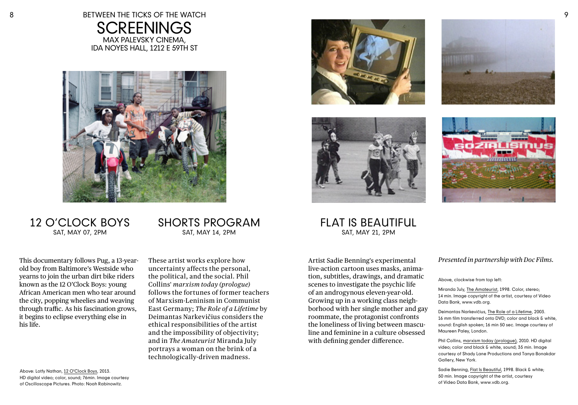

#### 12 O'CLOCK BOYS SAT, MAY 07, 2PM

This documentary follows Pug, a 13-yearold boy from Baltimore's Westside who yearns to join the urban dirt bike riders known as the 12 O'Clock Boys: young African American men who tear around the city, popping wheelies and weaving through traffic. As his fascination grows, it begins to eclipse everything else in his life.

SHORTS PROGRAM SAT, MAY 14, 2PM

These artist works explore how uncertainty affects the personal, the political, and the social. Phil Collins' *marxism today (prologue)* follows the fortunes of former teachers of Marxism-Leninism in Communist East Germany; *The Role of a Lifetime* by Deimantas Narkevičius considers the ethical responsibilities of the artist and the impossibility of objectivity; and in *The Amateurist* Miranda July portrays a woman on the brink of a technologically-driven madness.









FLAT IS BEAUTIFUL SAT, MAY 21, 2PM

Artist Sadie Benning's experimental live-action cartoon uses masks, animation, subtitles, drawings, and dramatic scenes to investigate the psychic life of an androgynous eleven-year-old. Growing up in a working class neighborhood with her single mother and gay roommate, the protagonist confronts the loneliness of living between masculine and feminine in a culture obsessed with defning gender diference.

#### *Presented in partnership with Doc Films.*

Above, clockwise from top left:

Miranda July, The Amateurist, 1998. Color, stereo; 14 min. Image copyright of the artist, courtesy of Video Data Bank, www.vdb.org.

Deimantas Narkevicius, The Role of a Lifetime, 2003. 16 mm film transferred onto DVD; color and black & white, sound: English spoken; 16 min 50 sec. Image courtesy of Maureen Paley, London.

Phil Collins, marxism today (prologue), 2010. HD digital video; color and black & white, sound; 35 min. Image courtesy of Shady Lane Productions and Tanya Bonakdar Gallery, New York.

Sadie Benning, Flat Is Beautiful, 1998. Black & white; 50 min. Image copyright of the artist, courtesy of Video Data Bank, www.vdb.org.

Above: Lotfy Nathan, 12 O'Clock Boys, 2013. HD digital video; color, sound; 76min. Image courtesy of Oscilloscope Pictures. Photo: Noah Rabinowitz.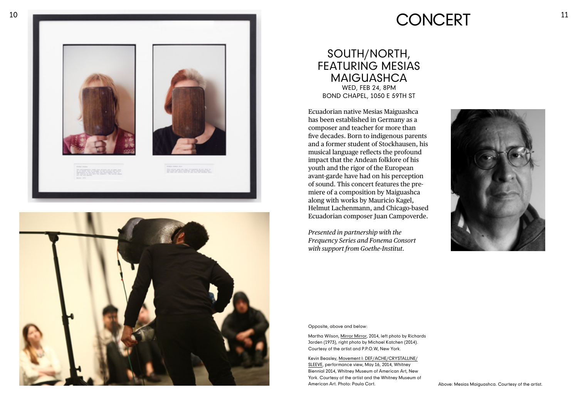### SOUTH/NORTH, FEATURING MESIAS **MAIGUASHCA** WED, FEB 24, 8PM BOND CHAPEL, 1050 E 59TH ST

Ecuadorian native Mesias Maiguashca has been established in Germany as a composer and teacher for more than fve decades. Born to indigenous parents and a former student of Stockhausen, his musical language re fects the profound impact that the Andean folklore of his youth and the rigor of the European avant-garde have had on his perception of sound. This concert features the pre miere of a composition by Maiguashca along with works by Mauricio Kagel, Helmut Lachenmann, and Chicago-based Ecuadorian composer Juan Campoverde.

*Presented in partnership with the Frequency Series and Fonema Consort with support from Goethe-Institut.*



#### Opposite, above and below:

Martha Wilson, Mirror Mirror, 2014, left photo by Richards Jarden (1973), right photo by Michael Katchen (2014). Courtesy of the artist and P.P.O.W, New York.

#### Kevin Beasley, Movement I: DEF/ACHE/CRYSTALLINE/

SLEEVE, performance view, May 16, 2014, Whitney Biennial 2014, Whitney Museum of American Art, New York. Courtesy of the artist and the Whitney Museum of American Art. Photo: Paula Cort. Above: Mesias Maiguashca. Courtesy of the artist.



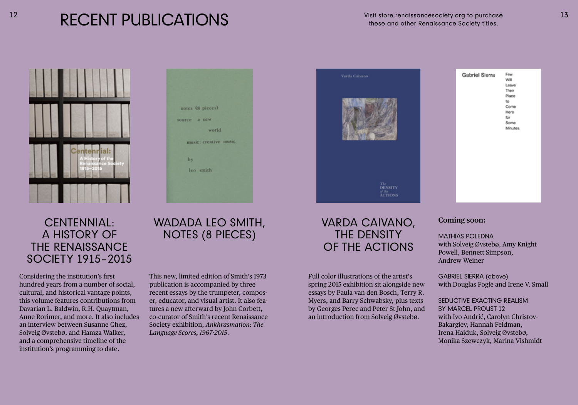# 12 RECENT PUBLICATIONS <sup>Visit store</sup> and other Renaissancesociety.org to purchase 13



| notes (8 pieces)      |
|-----------------------|
| source a new          |
| world                 |
| music: creative music |
| by                    |
| leo smith             |
|                       |
|                       |

### CENTENNIAL: A HISTORY OF THE RENAISSANCE SOCIETY 1915–2015

Considering the institution's frst hundred years from a number of social, cultural, and historical vantage points, this volume features contributions from Davarian L. Baldwin, R.H. Quaytman, Anne Rorimer, and more. It also includes an interview between Susanne Ghez, Solveig Øvstebø, and Hamza Walker, and a comprehensive timeline of the institution's programming to date.

# WADADA LEO SMITH, NOTES (8 PIECES)

This new, limited edition of Smith's 1973 publication is accompanied by three recent essays by the trumpeter, composer, educator, and visual artist. It also features a new afterward by John Corbett, co-curator of Smith's recent Renaissance Society exhibition, *Ankhrasmation: The Language Scores, 1967-2015*.

### VARDA CAIVANO, THE DENSITY OF THE ACTIONS

**ACTIONS** 

Full color illustrations of the artist's spring 2015 exhibition sit alongside new essays by Paula van den Bosch, Terry R. Myers, and Barry Schwabsky, plus texts by Georges Perec and Peter St John, and an introduction from Solveig Øvstebø.

#### Gabriel Sierra Few war Leave Their Place to. Come Here for Some Minutes.

#### **Coming soon:**

#### MATHIAS POLEDNA

with Solveig Øvstebø, Amy Knight Powell, Bennett Simpson, Andrew Weiner

GABRIEL SIERRA (above) with Douglas Fogle and Irene V. Small

#### SEDUCTIVE EXACTING REALISM

BY MARCEL PROUST 12 with Ivo Andrić, Carolyn Christov-Bakargiev, Hannah Feldman, Irena Haiduk, Solveig Øvstebø, Monika Szewczyk, Marina Vishmidt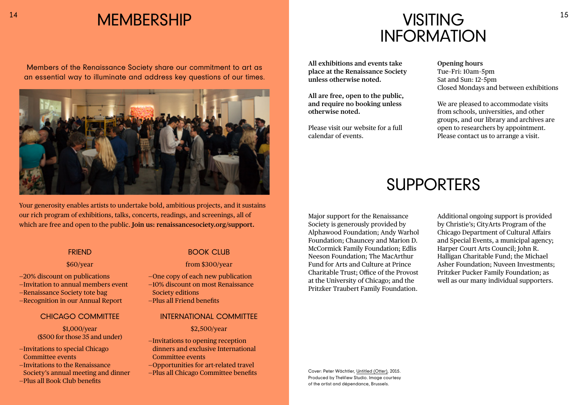### VISITING INFORMATION <sup>14</sup> MEMBERSHIP NISITING <sup>15</sup>

Members of the Renaissance Society share our commitment to art as an essential way to illuminate and address key questions of our times.



Your generosity enables artists to undertake bold, ambitious projects, and it sustains our rich program of exhibitions, talks, concerts, readings, and screenings, all of which are free and open to the public. **Join us: renaissancesociety.org/support.**

#### **FRIEND**

#### \$60/year

- —20% discount on publications
- —Invitation to annual members event
- —Renaissance Society tote bag
- —Recognition in our Annual Report

#### CHICAGO COMMITTEE

\$1,000/year (\$500 for those 35 and under)

- —Invitations to special Chicago Committee events
- —Invitations to the Renaissance
- Society's annual meeting and dinner
- —Plus all Book Club benefts

#### BOOK CLUB

#### from \$300/year

- —One copy of each new publication —10% discount on most Renaissance
- Society editions
- —Plus all Friend benefts

#### INTERNATIONAL COMMITTEE

#### \$2,500/year

- —Invitations to opening reception dinners and exclusive International Committee events
- —Opportunities for art-related travel
- —Plus all Chicago Committee benefts

**All exhibitions and events take place at the Renaissance Society unless otherwise noted.**

**All are free, open to the public, and require no booking unless otherwise noted.**

Please visit our website for a full calendar of events.

**Opening hours** Tue–Fri: 10am–5pm Sat and Sun: 12–5pm Closed Mondays and between exhibitions

We are pleased to accommodate visits from schools, universities, and other groups, and our library and archives are open to researchers by appointment. Please contact us to arrange a visit.

# SUPPORTERS

Major support for the Renaissance Society is generously provided by Alphawood Foundation; Andy Warhol Foundation; Chauncey and Marion D. McCormick Family Foundation; Edlis Neeson Foundation; The MacArthur Fund for Arts and Culture at Prince Charitable Trust: Office of the Provost at the University of Chicago; and the Pritzker Traubert Family Foundation.

Additional ongoing support is provided by Christie's; CityArts Program of the Chicago Department of Cultural Afairs and Special Events, a municipal agency; Harper Court Arts Council; John R. Halligan Charitable Fund; the Michael Asher Foundation; Nuveen Investments; Pritzker Pucker Family Foundation; as well as our many individual supporters.

Cover: Peter Wächtler, Untitled (Otter), 2015. Produced by TheView Studio. Image courtesy of the artist and dépendance, Brussels.